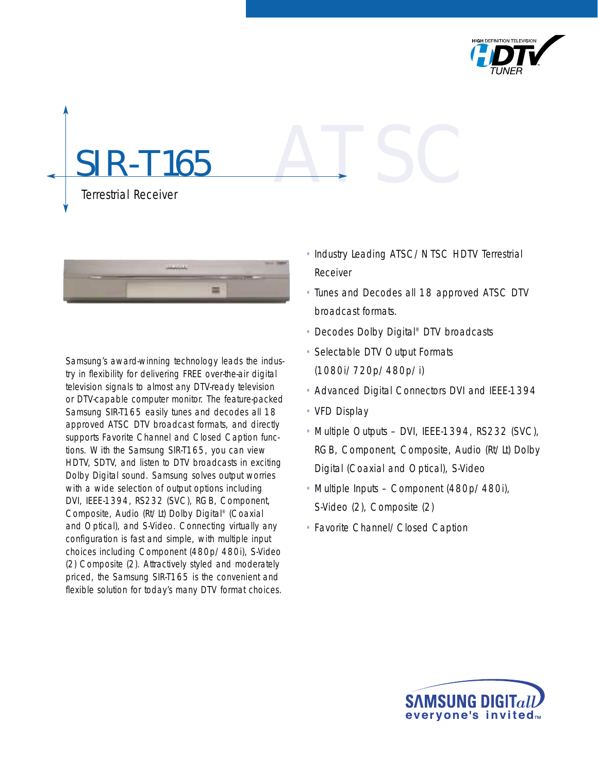

# **R-T165** Terrestrial Receiver ATSC



Samsung's award-winning technology leads the industry in flexibility for delivering FREE over-the-air digital television signals to almost any DTV-ready television or DTV-capable computer monitor. The feature-packed Samsung SIR-T165 easily tunes and decodes all 18 approved ATSC DTV broadcast formats, and directly supports Favorite Channel and Closed Caption functions. With the Samsung SIR-T165, you can view HDTV, SDTV, and listen to DTV broadcasts in exciting Dolby Digital sound. Samsung solves output worries with a wide selection of output options including DVI, IEEE-1394, RS232 (SVC), RGB, Component, Composite, Audio (Rt/Lt) Dolby Digital® (Coaxial and Optical), and S-Video. Connecting virtually any configuration is fast and simple, with multiple input choices including Component (480p/480i), S-Video (2) Composite (2). Attractively styled and moderately priced, the Samsung SIR-T165 is the convenient and flexible solution for today's many DTV format choices.

- Industry Leading ATSC/NTSC HDTV Terrestrial Receiver
- Tunes and Decodes all 18 approved ATSC DTV broadcast formats.
- Decodes Dolby Digital® DTV broadcasts
- Selectable DTV Output Formats (1080i/720p/480p/i)
- Advanced Digital Connectors DVI and IEEE-1394
- VFD Display
- Multiple Outputs DVI, IEEE-1394, RS232 (SVC), RGB, Component, Composite, Audio (Rt/Lt) Dolby Digital (Coaxial and Optical), S-Video
- Multiple Inputs Component (480p/480i), S-Video (2), Composite (2)
- Favorite Channel/Closed Caption